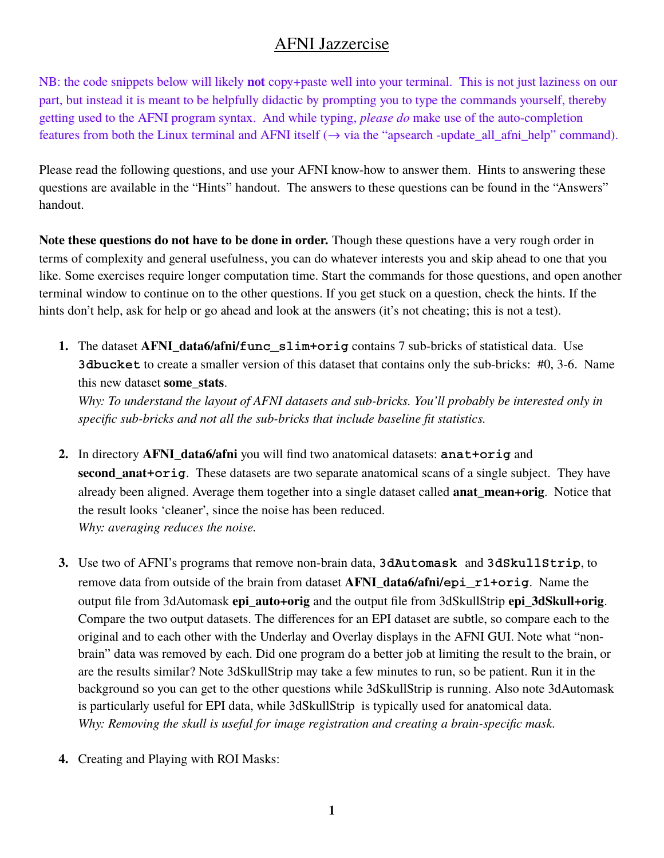# AFNI Jazzercise

NB: the code snippets below will likely **not** copy+paste well into your terminal. This is not just laziness on our part, but instead it is meant to be helpfully didactic by prompting you to type the commands yourself, thereby getting used to the AFNI program syntax. And while typing, *please do* make use of the auto-completion features from both the Linux terminal and AFNI itself  $(\rightarrow$  via the "apsearch -update\_all\_afni\_help" command).

Please read the following questions, and use your AFNI know-how to answer them. Hints to answering these questions are available in the "Hints" handout. The answers to these questions can be found in the "Answers" handout.

**Note these questions do not have to be done in order.** Though these questions have a very rough order in terms of complexity and general usefulness, you can do whatever interests you and skip ahead to one that you like. Some exercises require longer computation time. Start the commands for those questions, and open another terminal window to continue on to the other questions. If you get stuck on a question, check the hints. If the hints don't help, ask for help or go ahead and look at the answers (it's not cheating; this is not a test).

**1.** The dataset **AFNI\_data6/afni/func\_slim+orig** contains 7 sub-bricks of statistical data. Use **3dbucket** to create a smaller version of this dataset that contains only the sub-bricks: #0, 3-6. Name this new dataset **some\_stats**.

*Why: To understand the layout of AFNI datasets and sub-bricks. You'll probably be interested only in specific sub-bricks and not all the sub-bricks that include baseline fit statistics.*

- **2.** In directory **AFNI\_data6/afni** you will find two anatomical datasets: **anat+orig** and **second\_anat+orig**. These datasets are two separate anatomical scans of a single subject. They have already been aligned. Average them together into a single dataset called **anat\_mean+orig**. Notice that the result looks 'cleaner', since the noise has been reduced. *Why: averaging reduces the noise.*
- **3.** Use two of AFNI's programs that remove non-brain data, **3dAutomask** and **3dSkullStrip**, to remove data from outside of the brain from dataset **AFNI\_data6/afni/epi\_r1+orig**. Name the output file from 3dAutomask **epi\_auto+orig** and the output file from 3dSkullStrip **epi\_3dSkull+orig**. Compare the two output datasets. The differences for an EPI dataset are subtle, so compare each to the original and to each other with the Underlay and Overlay displays in the AFNI GUI. Note what "nonbrain" data was removed by each. Did one program do a better job at limiting the result to the brain, or are the results similar? Note 3dSkullStrip may take a few minutes to run, so be patient. Run it in the background so you can get to the other questions while 3dSkullStrip is running. Also note 3dAutomask is particularly useful for EPI data, while 3dSkullStrip is typically used for anatomical data. *Why: Removing the skull is useful for image registration and creating a brain-specific mask.*
- **4.** Creating and Playing with ROI Masks: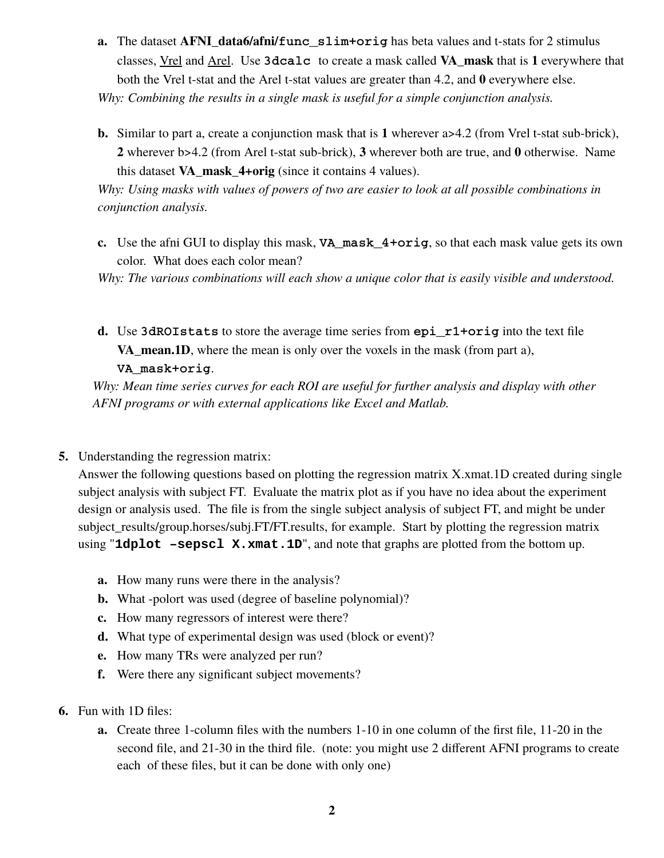**a.** The dataset **AFNI\_data6/afni/func\_slim+orig** has beta values and t-stats for 2 stimulus classes, Vrel and Arel. Use **3dcalc** to create a mask called **VA\_mask** that is **1** everywhere that both the Vrel t-stat and the Arel t-stat values are greater than 4.2, and **0** everywhere else.

*Why: Combining the results in a single mask is useful for a simple conjunction analysis.*

**b.** Similar to part a, create a conjunction mask that is 1 wherever  $a > 4.2$  (from Vrel t-stat sub-brick), **2** wherever b>4.2 (from Arel t-stat sub-brick), **3** wherever both are true, and **0** otherwise. Name this dataset **VA\_mask\_4+orig** (since it contains 4 values).

*Why: Using masks with values of powers of two are easier to look at all possible combinations in conjunction analysis.*

**c.** Use the afni GUI to display this mask, **VA\_mask\_4+orig**, so that each mask value gets its own color. What does each color mean?

*Why: The various combinations will each show a unique color that is easily visible and understood.*

**d.** Use **3dROIstats** to store the average time series from **epi\_r1+orig** into the text file **VA** mean.1D, where the mean is only over the voxels in the mask (from part a), **VA\_mask+orig**.

*Why: Mean time series curves for each ROI are useful for further analysis and display with other AFNI programs or with external applications like Excel and Matlab.*

**5.** Understanding the regression matrix:

Answer the following questions based on plotting the regression matrix X.xmat.1D created during single subject analysis with subject FT. Evaluate the matrix plot as if you have no idea about the experiment design or analysis used. The file is from the single subject analysis of subject FT, and might be under subject\_results/group.horses/subj.FT/FT.results, for example. Start by plotting the regression matrix using "**1dplot** -sepscl X. xmat. 1D", and note that graphs are plotted from the bottom up.

- **a.** How many runs were there in the analysis?
- **b.** What -polort was used (degree of baseline polynomial)?
- **c.** How many regressors of interest were there?
- **d.** What type of experimental design was used (block or event)?
- **e.** How many TRs were analyzed per run?
- **f.** Were there any significant subject movements?
- **6.** Fun with 1D files:
	- **a.** Create three 1-column files with the numbers 1-10 in one column of the first file, 11-20 in the second file, and 21-30 in the third file. (note: you might use 2 different AFNI programs to create each of these files, but it can be done with only one)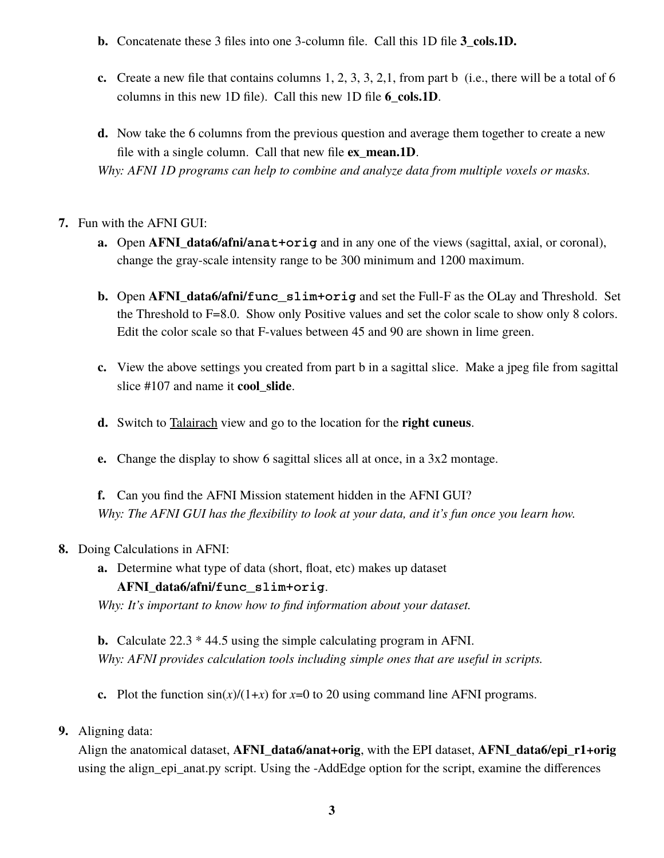- **b.** Concatenate these 3 files into one 3-column file. Call this 1D file **3\_cols.1D.**
- **c.** Create a new file that contains columns  $1, 2, 3, 3, 2, 1$ , from part b (i.e., there will be a total of 6 columns in this new 1D file). Call this new 1D file **6\_cols.1D**.
- **d.** Now take the 6 columns from the previous question and average them together to create a new file with a single column. Call that new file **ex\_mean.1D**. *Why: AFNI 1D programs can help to combine and analyze data from multiple voxels or masks.*

## **7.** Fun with the AFNI GUI:

- **a.** Open **AFNI\_data6/afni/anat+orig** and in any one of the views (sagittal, axial, or coronal), change the gray-scale intensity range to be 300 minimum and 1200 maximum.
- **b.** Open **AFNI\_data6/afni/func\_slim+orig** and set the Full-F as the OLay and Threshold. Set the Threshold to F=8.0. Show only Positive values and set the color scale to show only 8 colors. Edit the color scale so that F-values between 45 and 90 are shown in lime green.
- **c.** View the above settings you created from part b in a sagittal slice. Make a jpeg file from sagittal slice #107 and name it **cool\_slide**.
- **d.** Switch to Talairach view and go to the location for the **right cuneus**.
- **e.** Change the display to show 6 sagittal slices all at once, in a 3x2 montage.

**f.** Can you find the AFNI Mission statement hidden in the AFNI GUI? *Why: The AFNI GUI has the flexibility to look at your data, and it's fun once you learn how.*

### **8.** Doing Calculations in AFNI:

**a.** Determine what type of data (short, float, etc) makes up dataset

# **AFNI\_data6/afni/func\_slim+orig**.

*Why: It's important to know how to find information about your dataset.*

**b.** Calculate 22.3 \* 44.5 using the simple calculating program in AFNI. *Why: AFNI provides calculation tools including simple ones that are useful in scripts.*

**c.** Plot the function  $\sin(x)/(1+x)$  for  $x=0$  to 20 using command line AFNI programs.

# **9.** Aligning data:

Align the anatomical dataset, **AFNI\_data6/anat+orig**, with the EPI dataset, **AFNI\_data6/epi\_r1+orig** using the align\_epi\_anat.py script. Using the -AddEdge option for the script, examine the differences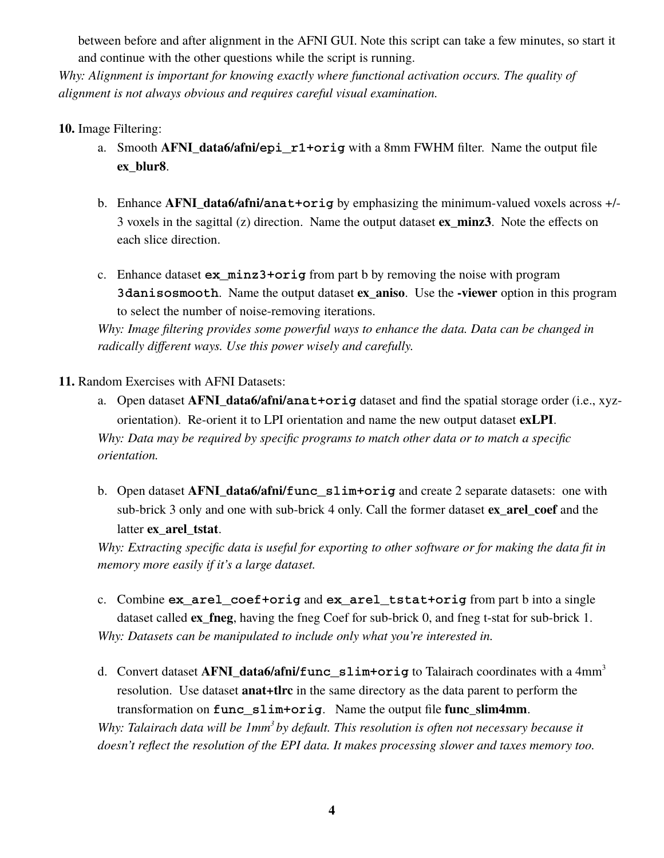between before and after alignment in the AFNI GUI. Note this script can take a few minutes, so start it and continue with the other questions while the script is running.

*Why: Alignment is important for knowing exactly where functional activation occurs. The quality of alignment is not always obvious and requires careful visual examination.*

## **10.** Image Filtering:

- a. Smooth **AFNI\_data6/afni/epi\_r1+orig** with a 8mm FWHM filter. Name the output file **ex\_blur8**.
- b. Enhance **AFNI\_data6/afni/anat+orig** by emphasizing the minimum-valued voxels across +/- 3 voxels in the sagittal (z) direction. Name the output dataset **ex\_minz3**. Note the effects on each slice direction.
- c. Enhance dataset **ex\_minz3+orig** from part b by removing the noise with program **3danisosmooth**. Name the output dataset **ex\_aniso**. Use the **-viewer** option in this program to select the number of noise-removing iterations.

*Why: Image filtering provides some powerful ways to enhance the data. Data can be changed in radically different ways. Use this power wisely and carefully.*

### **11.** Random Exercises with AFNI Datasets:

- a. Open dataset **AFNI\_data6/afni/anat+orig** dataset and find the spatial storage order (i.e., xyzorientation). Re-orient it to LPI orientation and name the new output dataset **exLPI**. *Why: Data may be required by specific programs to match other data or to match a specific orientation.*
- b. Open dataset **AFNI\_data6/afni/func\_slim+orig** and create 2 separate datasets: one with sub-brick 3 only and one with sub-brick 4 only. Call the former dataset **ex\_arel\_coef** and the latter **ex\_arel\_tstat**.

*Why: Extracting specific data is useful for exporting to other software or for making the data fit in memory more easily if it's a large dataset.*

- c. Combine **ex\_arel\_coef+orig** and **ex\_arel\_tstat+orig** from part b into a single dataset called **ex\_fneg**, having the fneg Coef for sub-brick 0, and fneg t-stat for sub-brick 1. *Why: Datasets can be manipulated to include only what you're interested in.*
- d. Convert dataset **AFNI\_data6/afni/func\_slim+orig** to Talairach coordinates with a 4mm<sup>3</sup> resolution. Use dataset **anat+tlrc** in the same directory as the data parent to perform the transformation on **func\_slim+orig**. Name the output file **func\_slim4mm**.

*Why: Talairach data will be 1mm<sup>3</sup>by default. This resolution is often not necessary because it doesn't reflect the resolution of the EPI data. It makes processing slower and taxes memory too.*